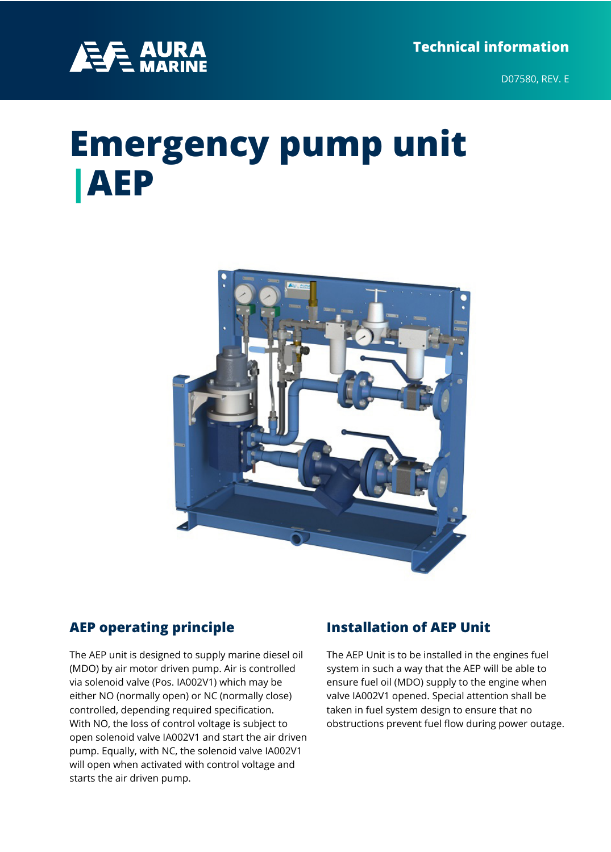

D07580, REV. E

# **Emergency pump unit |AEP**



#### **AEP operating principle**

The AEP unit is designed to supply marine diesel oil (MDO) by air motor driven pump. Air is controlled via solenoid valve (Pos. IA002V1) which may be either NO (normally open) or NC (normally close) controlled, depending required specification. With NO, the loss of control voltage is subject to open solenoid valve IA002V1 and start the air driven pump. Equally, with NC, the solenoid valve IA002V1 will open when activated with control voltage and starts the air driven pump.

#### **Installation of AEP Unit**

The AEP Unit is to be installed in the engines fuel system in such a way that the AEP will be able to ensure fuel oil (MDO) supply to the engine when valve IA002V1 opened. Special attention shall be taken in fuel system design to ensure that no obstructions prevent fuel flow during power outage.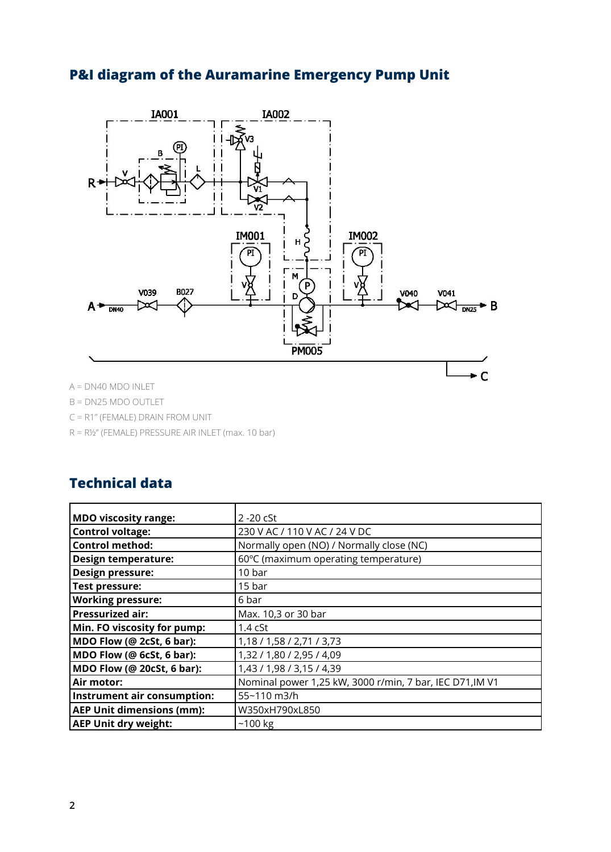# **P&I diagram of the Auramarine Emergency Pump Unit**



B = DN25 MDO OUTLET

- C = R1" (FEMALE) DRAIN FROM UNIT
- R = R½" (FEMALE) PRESSURE AIR INLET (max. 10 bar)

#### **Technical data**

| MDO viscosity range:             | $2 - 20$ cSt                                             |  |  |  |  |
|----------------------------------|----------------------------------------------------------|--|--|--|--|
| Control voltage:                 | 230 V AC / 110 V AC / 24 V DC                            |  |  |  |  |
| Control method:                  | Normally open (NO) / Normally close (NC)                 |  |  |  |  |
| <b>Design temperature:</b>       | 60°C (maximum operating temperature)                     |  |  |  |  |
| Design pressure:                 | 10 bar                                                   |  |  |  |  |
| Test pressure:                   | 15 bar                                                   |  |  |  |  |
| <b>Working pressure:</b>         | 6 bar                                                    |  |  |  |  |
| <b>Pressurized air:</b>          | Max. 10,3 or 30 bar                                      |  |  |  |  |
| Min. FO viscosity for pump:      | 1.4 <sub>cf</sub>                                        |  |  |  |  |
| MDO Flow (@ 2cSt, 6 bar):        | 1,18 / 1,58 / 2,71 / 3,73                                |  |  |  |  |
| MDO Flow (@ 6cSt, 6 bar):        | 1,32 / 1,80 / 2,95 / 4,09                                |  |  |  |  |
| MDO Flow (@ 20cSt, 6 bar):       | 1,43 / 1,98 / 3,15 / 4,39                                |  |  |  |  |
| Air motor:                       | Nominal power 1,25 kW, 3000 r/min, 7 bar, IEC D71, IM V1 |  |  |  |  |
| Instrument air consumption:      | 55~110 m3/h                                              |  |  |  |  |
| <b>AEP Unit dimensions (mm):</b> | W350xH790xL850                                           |  |  |  |  |
| <b>AEP Unit dry weight:</b>      | $~100$ kg                                                |  |  |  |  |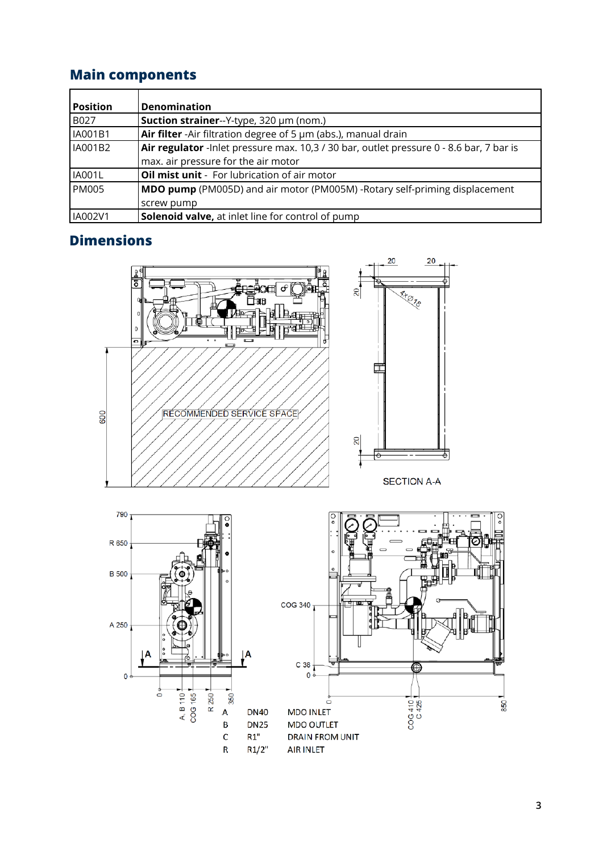## **Main components**

| <b>Position</b> | <b>Denomination</b>                                                                      |
|-----------------|------------------------------------------------------------------------------------------|
| <b>B027</b>     | Suction strainer--Y-type, 320 µm (nom.)                                                  |
| IA001B1         | Air filter - Air filtration degree of 5 µm (abs.), manual drain                          |
| <b>IA001B2</b>  | Air regulator - Inlet pressure max. 10,3 / 30 bar, outlet pressure 0 - 8.6 bar, 7 bar is |
|                 | max. air pressure for the air motor                                                      |
| <b>IA001L</b>   | Oil mist unit - For lubrication of air motor                                             |
| <b>PM005</b>    | <b>MDO pump</b> (PM005D) and air motor (PM005M) -Rotary self-priming displacement        |
|                 | screw pump                                                                               |
| IA002V1         | <b>Solenoid valve, at inlet line for control of pump</b>                                 |

## **Dimensions**